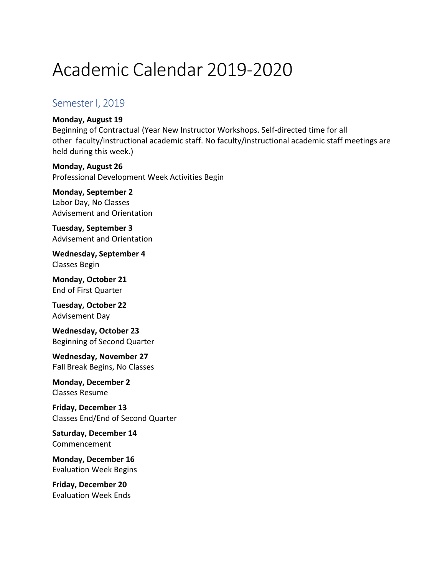# Academic Calendar 2019-2020

## Semester I, 2019

#### **Monday, August 19**

Beginning of Contractual (Year New Instructor Workshops. Self-directed time for all other faculty/instructional academic staff. No faculty/instructional academic staff meetings are held during this week.)

**Monday, August 26** Professional Development Week Activities Begin

**Monday, September 2** Labor Day, No Classes Advisement and Orientation

**Tuesday, September 3** Advisement and Orientation

**Wednesday, September 4** Classes Begin

**Monday, October 21** End of First Quarter 

**Tuesday, October 22**  Advisement Day

**Wednesday, October 23** Beginning of Second Quarter 

**Wednesday, November 27** Fall Break Begins, No Classes

**Monday, December 2** Classes Resume 

**Friday, December 13** Classes End/End of Second Quarter 

**Saturday, December 14** Commencement 

**Monday, December 16** Evaluation Week Begins

**Friday, December 20** Evaluation Week Ends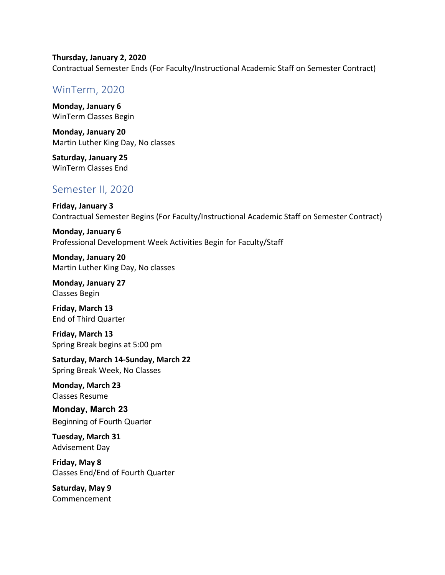**Thursday, January 2, 2020** Contractual Semester Ends (For Faculty/Instructional Academic Staff on Semester Contract)

#### WinTerm, 2020

**Monday, January 6** WinTerm Classes Begin 

**Monday, January 20** Martin Luther King Day, No classes

**Saturday, January 25** WinTerm Classes End

### Semester II, 2020

**Friday, January 3** Contractual Semester Begins (For Faculty/Instructional Academic Staff on Semester Contract)

**Monday, January 6** Professional Development Week Activities Begin for Faculty/Staff

**Monday, January 20** Martin Luther King Day, No classes

**Monday, January 27** Classes Begin 

**Friday, March 13** End of Third Quarter 

**Friday, March 13** Spring Break begins at 5:00 pm 

**Saturday, March 14-Sunday, March 22** Spring Break Week, No Classes

**Monday, March 23** Classes Resume

**Monday, March 23** Beginning of Fourth Quarter

**Tuesday, March 31** Advisement Day

**Friday, May 8** Classes End/End of Fourth Quarter 

Saturday, May 9 Commencement